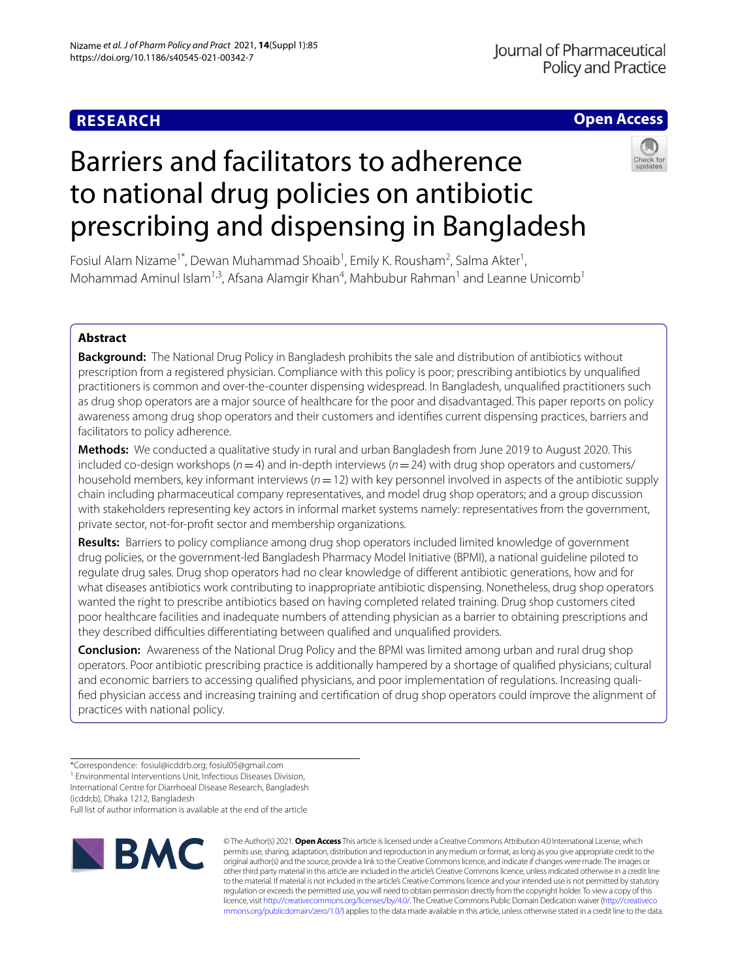# **RESEARCH**

# **Open Access**

# Barriers and facilitators to adherence to national drug policies on antibiotic prescribing and dispensing in Bangladesh



Fosiul Alam Nizame<sup>1\*</sup>, Dewan Muhammad Shoaib<sup>1</sup>, Emily K. Rousham<sup>2</sup>, Salma Akter<sup>1</sup>, Mohammad Aminul Islam<sup>1,3</sup>, Afsana Alamgir Khan<sup>4</sup>, Mahbubur Rahman<sup>1</sup> and Leanne Unicomb<sup>1</sup>

# **Abstract**

**Background:** The National Drug Policy in Bangladesh prohibits the sale and distribution of antibiotics without prescription from a registered physician. Compliance with this policy is poor; prescribing antibiotics by unqualifed practitioners is common and over-the-counter dispensing widespread. In Bangladesh, unqualifed practitioners such as drug shop operators are a major source of healthcare for the poor and disadvantaged. This paper reports on policy awareness among drug shop operators and their customers and identifes current dispensing practices, barriers and facilitators to policy adherence.

**Methods:** We conducted a qualitative study in rural and urban Bangladesh from June 2019 to August 2020. This included co-design workshops (*n*=4) and in-depth interviews (*n*=24) with drug shop operators and customers/ household members, key informant interviews (*n*=12) with key personnel involved in aspects of the antibiotic supply chain including pharmaceutical company representatives, and model drug shop operators; and a group discussion with stakeholders representing key actors in informal market systems namely: representatives from the government, private sector, not-for-proft sector and membership organizations.

**Results:** Barriers to policy compliance among drug shop operators included limited knowledge of government drug policies, or the government-led Bangladesh Pharmacy Model Initiative (BPMI), a national guideline piloted to regulate drug sales. Drug shop operators had no clear knowledge of diferent antibiotic generations, how and for what diseases antibiotics work contributing to inappropriate antibiotic dispensing. Nonetheless, drug shop operators wanted the right to prescribe antibiotics based on having completed related training. Drug shop customers cited poor healthcare facilities and inadequate numbers of attending physician as a barrier to obtaining prescriptions and they described difficulties differentiating between qualified and unqualified providers.

**Conclusion:** Awareness of the National Drug Policy and the BPMI was limited among urban and rural drug shop operators. Poor antibiotic prescribing practice is additionally hampered by a shortage of qualifed physicians; cultural and economic barriers to accessing qualifed physicians, and poor implementation of regulations. Increasing qualifed physician access and increasing training and certifcation of drug shop operators could improve the alignment of practices with national policy.

<sup>1</sup> Environmental Interventions Unit, Infectious Diseases Division, International Centre for Diarrhoeal Disease Research, Bangladesh

(icddr,b), Dhaka 1212, Bangladesh

Full list of author information is available at the end of the article



© The Author(s) 2021. **Open Access** This article is licensed under a Creative Commons Attribution 4.0 International License, which permits use, sharing, adaptation, distribution and reproduction in any medium or format, as long as you give appropriate credit to the original author(s) and the source, provide a link to the Creative Commons licence, and indicate if changes were made. The images or other third party material in this article are included in the article's Creative Commons licence, unless indicated otherwise in a credit line to the material. If material is not included in the article's Creative Commons licence and your intended use is not permitted by statutory regulation or exceeds the permitted use, you will need to obtain permission directly from the copyright holder. To view a copy of this licence, visit [http://creativecommons.org/licenses/by/4.0/.](http://creativecommons.org/licenses/by/4.0/) The Creative Commons Public Domain Dedication waiver ([http://creativeco](http://creativecommons.org/publicdomain/zero/1.0/) [mmons.org/publicdomain/zero/1.0/](http://creativecommons.org/publicdomain/zero/1.0/)) applies to the data made available in this article, unless otherwise stated in a credit line to the data.

<sup>\*</sup>Correspondence: fosiul@icddrb.org; fosiul05@gmail.com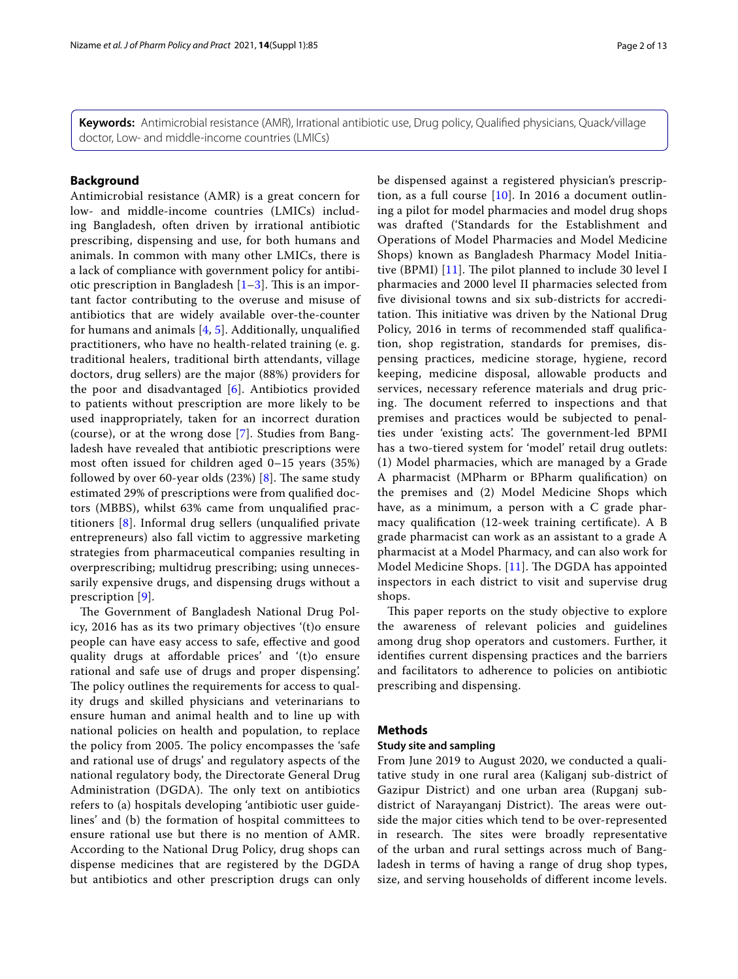**Keywords:** Antimicrobial resistance (AMR), Irrational antibiotic use, Drug policy, Qualifed physicians, Quack/village doctor, Low- and middle-income countries (LMICs)

# **Background**

Antimicrobial resistance (AMR) is a great concern for low- and middle-income countries (LMICs) including Bangladesh, often driven by irrational antibiotic prescribing, dispensing and use, for both humans and animals. In common with many other LMICs, there is a lack of compliance with government policy for antibiotic prescription in Bangladesh  $[1-3]$  $[1-3]$ . This is an important factor contributing to the overuse and misuse of antibiotics that are widely available over-the-counter for humans and animals [[4,](#page-11-2) [5](#page-11-3)]. Additionally, unqualifed practitioners, who have no health-related training (e. g. traditional healers, traditional birth attendants, village doctors, drug sellers) are the major (88%) providers for the poor and disadvantaged [[6\]](#page-11-4). Antibiotics provided to patients without prescription are more likely to be used inappropriately, taken for an incorrect duration (course), or at the wrong dose [[7\]](#page-11-5). Studies from Bangladesh have revealed that antibiotic prescriptions were most often issued for children aged 0–15 years (35%) followed by over 60-year olds  $(23%)$  [\[8\]](#page-11-6). The same study estimated 29% of prescriptions were from qualifed doctors (MBBS), whilst 63% came from unqualifed practitioners [[8](#page-11-6)]. Informal drug sellers (unqualifed private entrepreneurs) also fall victim to aggressive marketing strategies from pharmaceutical companies resulting in overprescribing; multidrug prescribing; using unnecessarily expensive drugs, and dispensing drugs without a prescription [\[9](#page-11-7)].

The Government of Bangladesh National Drug Policy, 2016 has as its two primary objectives '(t)o ensure people can have easy access to safe, efective and good quality drugs at afordable prices' and '(t)o ensure rational and safe use of drugs and proper dispensing'. The policy outlines the requirements for access to quality drugs and skilled physicians and veterinarians to ensure human and animal health and to line up with national policies on health and population, to replace the policy from 2005. The policy encompasses the 'safe' and rational use of drugs' and regulatory aspects of the national regulatory body, the Directorate General Drug Administration (DGDA). The only text on antibiotics refers to (a) hospitals developing 'antibiotic user guidelines' and (b) the formation of hospital committees to ensure rational use but there is no mention of AMR. According to the National Drug Policy, drug shops can dispense medicines that are registered by the DGDA but antibiotics and other prescription drugs can only be dispensed against a registered physician's prescription, as a full course  $[10]$  $[10]$  $[10]$ . In 2016 a document outlining a pilot for model pharmacies and model drug shops was drafted ('Standards for the Establishment and Operations of Model Pharmacies and Model Medicine Shops) known as Bangladesh Pharmacy Model Initiative (BPMI)  $[11]$  $[11]$ . The pilot planned to include 30 level I pharmacies and 2000 level II pharmacies selected from fve divisional towns and six sub-districts for accreditation. This initiative was driven by the National Drug Policy, 2016 in terms of recommended staff qualification, shop registration, standards for premises, dispensing practices, medicine storage, hygiene, record keeping, medicine disposal, allowable products and services, necessary reference materials and drug pricing. The document referred to inspections and that premises and practices would be subjected to penalties under 'existing acts'. The government-led BPMI has a two-tiered system for 'model' retail drug outlets: (1) Model pharmacies, which are managed by a Grade A pharmacist (MPharm or BPharm qualifcation) on the premises and (2) Model Medicine Shops which have, as a minimum, a person with a C grade pharmacy qualifcation (12-week training certifcate). A B grade pharmacist can work as an assistant to a grade A pharmacist at a Model Pharmacy, and can also work for Model Medicine Shops.  $[11]$  $[11]$ . The DGDA has appointed inspectors in each district to visit and supervise drug shops.

This paper reports on the study objective to explore the awareness of relevant policies and guidelines among drug shop operators and customers. Further, it identifes current dispensing practices and the barriers and facilitators to adherence to policies on antibiotic prescribing and dispensing.

# **Methods**

#### **Study site and sampling**

From June 2019 to August 2020, we conducted a qualitative study in one rural area (Kaliganj sub-district of Gazipur District) and one urban area (Rupganj subdistrict of Narayanganj District). The areas were outside the major cities which tend to be over-represented in research. The sites were broadly representative of the urban and rural settings across much of Bangladesh in terms of having a range of drug shop types, size, and serving households of diferent income levels.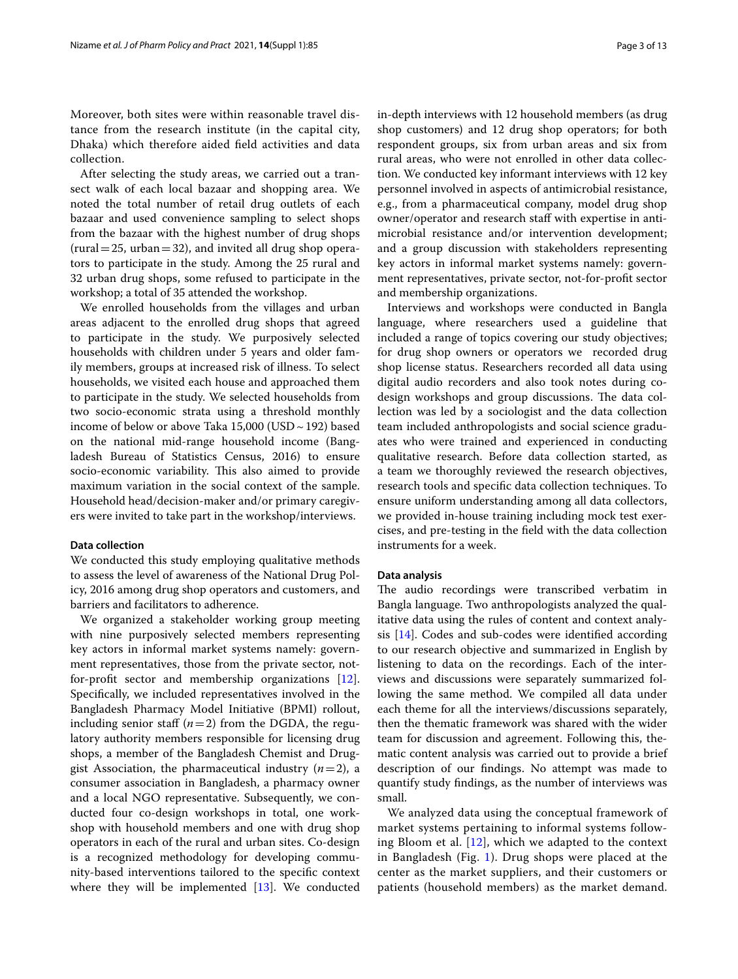Moreover, both sites were within reasonable travel distance from the research institute (in the capital city, Dhaka) which therefore aided feld activities and data collection.

After selecting the study areas, we carried out a transect walk of each local bazaar and shopping area. We noted the total number of retail drug outlets of each bazaar and used convenience sampling to select shops from the bazaar with the highest number of drug shops  $(rural = 25, urban = 32)$ , and invited all drug shop operators to participate in the study. Among the 25 rural and 32 urban drug shops, some refused to participate in the workshop; a total of 35 attended the workshop.

We enrolled households from the villages and urban areas adjacent to the enrolled drug shops that agreed to participate in the study. We purposively selected households with children under 5 years and older family members, groups at increased risk of illness. To select households, we visited each house and approached them to participate in the study. We selected households from two socio-economic strata using a threshold monthly income of below or above Taka  $15,000$  (USD  $\sim$  192) based on the national mid-range household income (Bangladesh Bureau of Statistics Census, 2016) to ensure socio-economic variability. This also aimed to provide maximum variation in the social context of the sample. Household head/decision-maker and/or primary caregivers were invited to take part in the workshop/interviews.

#### **Data collection**

We conducted this study employing qualitative methods to assess the level of awareness of the National Drug Policy, 2016 among drug shop operators and customers, and barriers and facilitators to adherence.

We organized a stakeholder working group meeting with nine purposively selected members representing key actors in informal market systems namely: government representatives, those from the private sector, notfor-proft sector and membership organizations [\[12](#page-11-10)]. Specifcally, we included representatives involved in the Bangladesh Pharmacy Model Initiative (BPMI) rollout, including senior staff  $(n=2)$  from the DGDA, the regulatory authority members responsible for licensing drug shops, a member of the Bangladesh Chemist and Druggist Association, the pharmaceutical industry  $(n=2)$ , a consumer association in Bangladesh, a pharmacy owner and a local NGO representative. Subsequently, we conducted four co-design workshops in total, one workshop with household members and one with drug shop operators in each of the rural and urban sites. Co-design is a recognized methodology for developing community-based interventions tailored to the specifc context where they will be implemented [[13\]](#page-11-11). We conducted in-depth interviews with 12 household members (as drug shop customers) and 12 drug shop operators; for both respondent groups, six from urban areas and six from rural areas, who were not enrolled in other data collection. We conducted key informant interviews with 12 key personnel involved in aspects of antimicrobial resistance, e.g., from a pharmaceutical company, model drug shop owner/operator and research staf with expertise in antimicrobial resistance and/or intervention development; and a group discussion with stakeholders representing key actors in informal market systems namely: government representatives, private sector, not-for-proft sector and membership organizations.

Interviews and workshops were conducted in Bangla language, where researchers used a guideline that included a range of topics covering our study objectives; for drug shop owners or operators we recorded drug shop license status. Researchers recorded all data using digital audio recorders and also took notes during codesign workshops and group discussions. The data collection was led by a sociologist and the data collection team included anthropologists and social science graduates who were trained and experienced in conducting qualitative research. Before data collection started, as a team we thoroughly reviewed the research objectives, research tools and specifc data collection techniques. To ensure uniform understanding among all data collectors, we provided in-house training including mock test exercises, and pre-testing in the feld with the data collection instruments for a week.

## **Data analysis**

The audio recordings were transcribed verbatim in Bangla language. Two anthropologists analyzed the qualitative data using the rules of content and context analysis [[14\]](#page-11-12). Codes and sub-codes were identifed according to our research objective and summarized in English by listening to data on the recordings. Each of the interviews and discussions were separately summarized following the same method. We compiled all data under each theme for all the interviews/discussions separately, then the thematic framework was shared with the wider team for discussion and agreement. Following this, thematic content analysis was carried out to provide a brief description of our fndings. No attempt was made to quantify study fndings, as the number of interviews was small.

We analyzed data using the conceptual framework of market systems pertaining to informal systems following Bloom et al. [[12\]](#page-11-10), which we adapted to the context in Bangladesh (Fig. [1](#page-3-0)). Drug shops were placed at the center as the market suppliers, and their customers or patients (household members) as the market demand.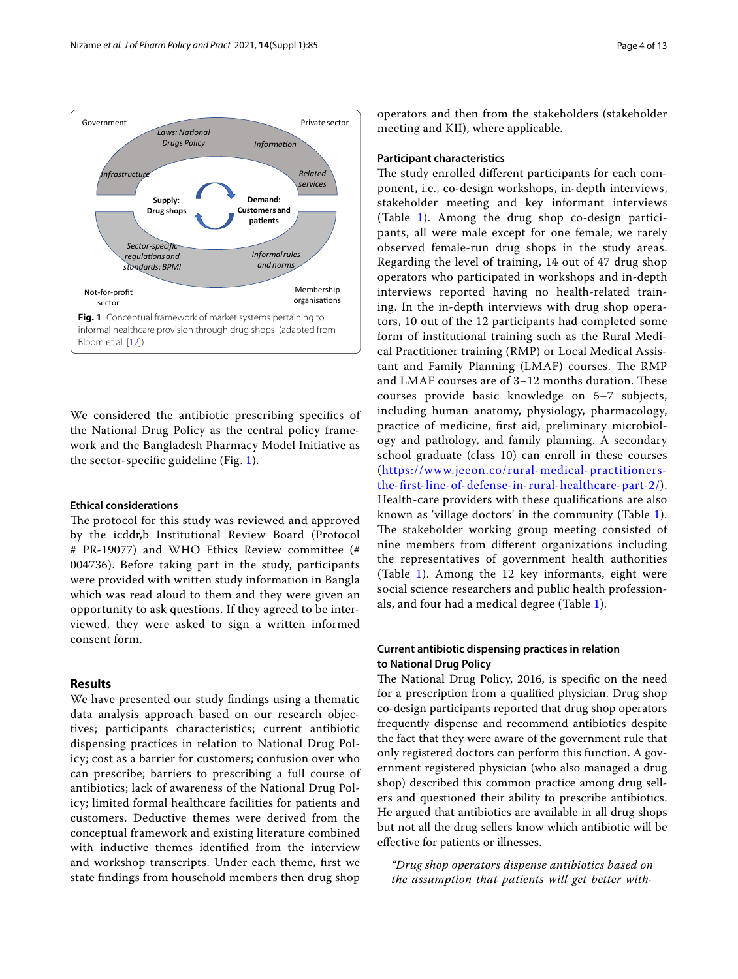

<span id="page-3-0"></span>We considered the antibiotic prescribing specifcs of the National Drug Policy as the central policy framework and the Bangladesh Pharmacy Model Initiative as the sector-specifc guideline (Fig. [1\)](#page-3-0).

### **Ethical considerations**

The protocol for this study was reviewed and approved by the icddr,b Institutional Review Board (Protocol # PR-19077) and WHO Ethics Review committee (# 004736). Before taking part in the study, participants were provided with written study information in Bangla which was read aloud to them and they were given an opportunity to ask questions. If they agreed to be interviewed, they were asked to sign a written informed consent form.

# **Results**

We have presented our study fndings using a thematic data analysis approach based on our research objectives; participants characteristics; current antibiotic dispensing practices in relation to National Drug Policy; cost as a barrier for customers; confusion over who can prescribe; barriers to prescribing a full course of antibiotics; lack of awareness of the National Drug Policy; limited formal healthcare facilities for patients and customers. Deductive themes were derived from the conceptual framework and existing literature combined with inductive themes identifed from the interview and workshop transcripts. Under each theme, frst we state fndings from household members then drug shop operators and then from the stakeholders (stakeholder meeting and KII), where applicable.

### **Participant characteristics**

The study enrolled different participants for each component, i.e., co-design workshops, in-depth interviews, stakeholder meeting and key informant interviews (Table [1\)](#page-4-0). Among the drug shop co-design participants, all were male except for one female; we rarely observed female-run drug shops in the study areas. Regarding the level of training, 14 out of 47 drug shop operators who participated in workshops and in-depth interviews reported having no health-related training. In the in-depth interviews with drug shop operators, 10 out of the 12 participants had completed some form of institutional training such as the Rural Medical Practitioner training (RMP) or Local Medical Assistant and Family Planning (LMAF) courses. The RMP and LMAF courses are of 3–12 months duration. These courses provide basic knowledge on 5–7 subjects, including human anatomy, physiology, pharmacology, practice of medicine, frst aid, preliminary microbiology and pathology, and family planning. A secondary school graduate (class 10) can enroll in these courses ([https://www.jeeon.co/rural-medical-practitioners](https://www.jeeon.co/rural-medical-practitioners-the-first-line-of-defense-in-rural-healthcare-part-2/)[the-frst-line-of-defense-in-rural-healthcare-part-2/\)](https://www.jeeon.co/rural-medical-practitioners-the-first-line-of-defense-in-rural-healthcare-part-2/). Health-care providers with these qualifcations are also known as 'village doctors' in the community (Table [1](#page-4-0)). The stakeholder working group meeting consisted of nine members from diferent organizations including the representatives of government health authorities (Table [1\)](#page-4-0). Among the 12 key informants, eight were social science researchers and public health professionals, and four had a medical degree (Table [1](#page-4-0)).

# **Current antibiotic dispensing practices in relation to National Drug Policy**

The National Drug Policy, 2016, is specific on the need for a prescription from a qualifed physician. Drug shop co-design participants reported that drug shop operators frequently dispense and recommend antibiotics despite the fact that they were aware of the government rule that only registered doctors can perform this function. A government registered physician (who also managed a drug shop) described this common practice among drug sellers and questioned their ability to prescribe antibiotics. He argued that antibiotics are available in all drug shops but not all the drug sellers know which antibiotic will be efective for patients or illnesses.

*"Drug shop operators dispense antibiotics based on the assumption that patients will get better with-*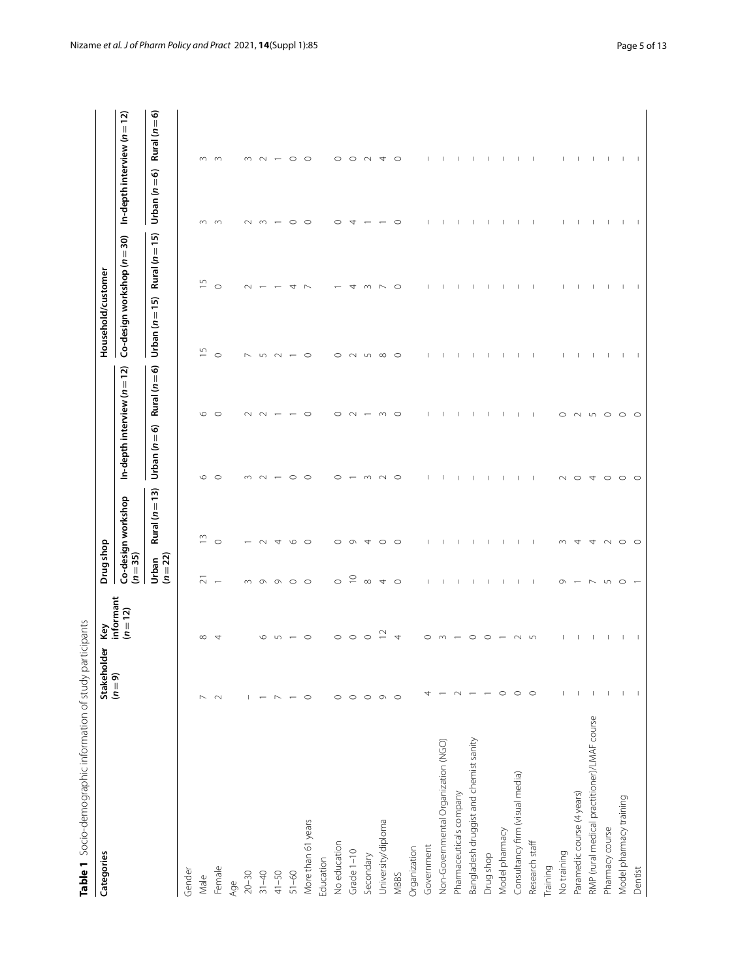<span id="page-4-0"></span>

| )<br>)                      |
|-----------------------------|
|                             |
|                             |
| $-10011$ $-10011$ $-110011$ |
| j                           |
|                             |
|                             |
| j                           |
|                             |
| 5,                          |
|                             |
|                             |
|                             |
| ١                           |
| 2.7                         |
|                             |
| )                           |
|                             |
|                             |
|                             |
|                             |
|                             |
| ١                           |
|                             |
|                             |
|                             |
|                             |
|                             |
|                             |
|                             |
| 5                           |
|                             |
|                             |
| ١                           |
|                             |
|                             |
|                             |
| J                           |
|                             |
| ī                           |
| ١                           |
| i                           |
| ;                           |
| j                           |
|                             |
| ١                           |
|                             |
|                             |
|                             |
|                             |
|                             |
|                             |

| Table 1 Socio-demographic information of study participants<br>Categories | der<br>Stakehol<br>(n=9) | Key<br>informant | Drug shop         |                    |                                 |               | Household/customer          |                |               |                                 |
|---------------------------------------------------------------------------|--------------------------|------------------|-------------------|--------------------|---------------------------------|---------------|-----------------------------|----------------|---------------|---------------------------------|
|                                                                           |                          | $(n=12)$         | $(n=35)$          | Co-design workshop | In-depth interview ( $n = 12$ ) |               | Co-design workshop (n = 30) |                |               | In-depth interview ( $n = 12$ ) |
|                                                                           |                          |                  | $(n=22)$<br>Urban | Rural $(n=13)$     | Urban $(n=6)$                   | Rural $(n=6)$ | Urban $(n = 15)$            | Rural $(n=15)$ | Urban $(n=6)$ | Rural ( $n=6$ )                 |
| Gender                                                                    |                          |                  |                   |                    |                                 |               |                             |                |               |                                 |
| Male                                                                      | $\overline{ }$           | $\infty$         | $\overline{\sim}$ | $\tilde{=}$        | w                               | $\circ$       | S                           | $\overline{5}$ | $\infty$      | $\infty$                        |
| Female                                                                    | $\sim$                   |                  |                   | $\circ$            | C                               | C             | $\circ$                     | $\circ$        | $\infty$      | $\infty$                        |
| Age                                                                       |                          |                  |                   |                    |                                 |               |                             |                |               |                                 |
| $20 - 30$                                                                 | $\mathbf{L}$             |                  |                   |                    |                                 |               |                             |                |               |                                 |
| $31 - 40$                                                                 |                          |                  | $\sigma$          |                    |                                 |               |                             |                | $\infty$      | $\sim$                          |
| $41 - 50$                                                                 | $\overline{\phantom{a}}$ |                  | $\sigma$          |                    |                                 |               |                             |                |               |                                 |
| $51 - 60$                                                                 | $\overline{\phantom{m}}$ |                  | $\circ$           |                    |                                 |               |                             |                | $\circ$       | $\circ$                         |
| More than 61 years                                                        | $\circ$                  |                  | $\circ$           | C                  |                                 | ⊂             | C                           |                | $\circ$       | $\circ$                         |
| Education                                                                 |                          |                  |                   |                    |                                 |               |                             |                |               |                                 |
| No education                                                              | $\circ$                  | C                | $\circ$           | ⊂                  |                                 | C             | c                           |                | C             | $\circ$                         |
| Grade 1-10                                                                | $\circ$                  | ⌒                | $\supseteq$       | σ                  |                                 |               |                             |                | 4             | O                               |
| Secondary                                                                 | $\circ$                  | ⊂                | $\infty$          | 4                  |                                 |               | 5                           |                |               |                                 |
| University/diploma                                                        | $\circ$ $\circ$          |                  | 4                 | O                  |                                 |               | $\infty$                    |                |               | 4                               |
| MBBS                                                                      |                          | 4                | $\circ$           | $\circ$            | C                               | $\circ$       | $\circ$                     | O              | O             | O                               |
| Organization                                                              |                          |                  |                   |                    |                                 |               |                             |                |               |                                 |
| Government                                                                | 4                        | ⊂                |                   |                    |                                 |               |                             |                |               |                                 |
| Non-Governmental Organization (NGO)                                       |                          |                  |                   |                    |                                 |               |                             |                |               |                                 |
| Pharmaceuticals company                                                   | $\sim$                   |                  |                   |                    |                                 |               |                             |                |               |                                 |
| Bangladesh druggist and chemist sanity                                    |                          |                  |                   |                    |                                 |               |                             |                |               |                                 |
| Drug shop                                                                 | $\overline{ }$           |                  |                   |                    |                                 |               |                             |                |               |                                 |
| Model pharmacy                                                            | $\circ$                  |                  |                   |                    |                                 |               |                             |                |               |                                 |
| Consultancy firm (visual media)                                           | $\circ$                  |                  |                   |                    |                                 |               |                             |                |               |                                 |
| Research staff                                                            | $\circ$                  | 5                |                   |                    |                                 |               |                             |                |               | $\mathbf{I}$                    |
| Training                                                                  |                          |                  |                   |                    |                                 |               |                             |                |               |                                 |
| No training                                                               | $\mathbf{I}$             |                  | Ō                 | m                  |                                 | $\circ$       |                             |                |               | $\mathbf{I}$                    |
| Paramedic course (4 years)                                                | $\mathbf{I}$             |                  |                   | 4                  | $\circ$                         | $\sim$        |                             |                |               | $\mathbf{I}$                    |
| RMP (rural medical practitioner)/LMAF course                              | $\overline{\phantom{a}}$ |                  |                   |                    | 4                               | $\sqrt{2}$    |                             |                |               | $\mathsf{I}$                    |
| Pharmacy course                                                           | $\mathbf{I}$             | 1                | $\sqrt{2}$        |                    | $\circ$                         | $\circ$       | 1                           |                | 1             | $\mathbf{I}$                    |
| Model pharmacy training                                                   | $\mathbf{I}$             | -1               | $\circ$           | $\circ$            | $\circ$                         | $\circ$       | Т.                          | $\mathbf{I}$   | $\mathbf{I}$  | $\overline{\phantom{a}}$        |
| Dentist                                                                   |                          |                  |                   | $\circ$            | $\circ$                         | $\circ$       |                             |                |               | $\overline{\phantom{0}}$        |
|                                                                           |                          |                  |                   |                    |                                 |               |                             |                |               |                                 |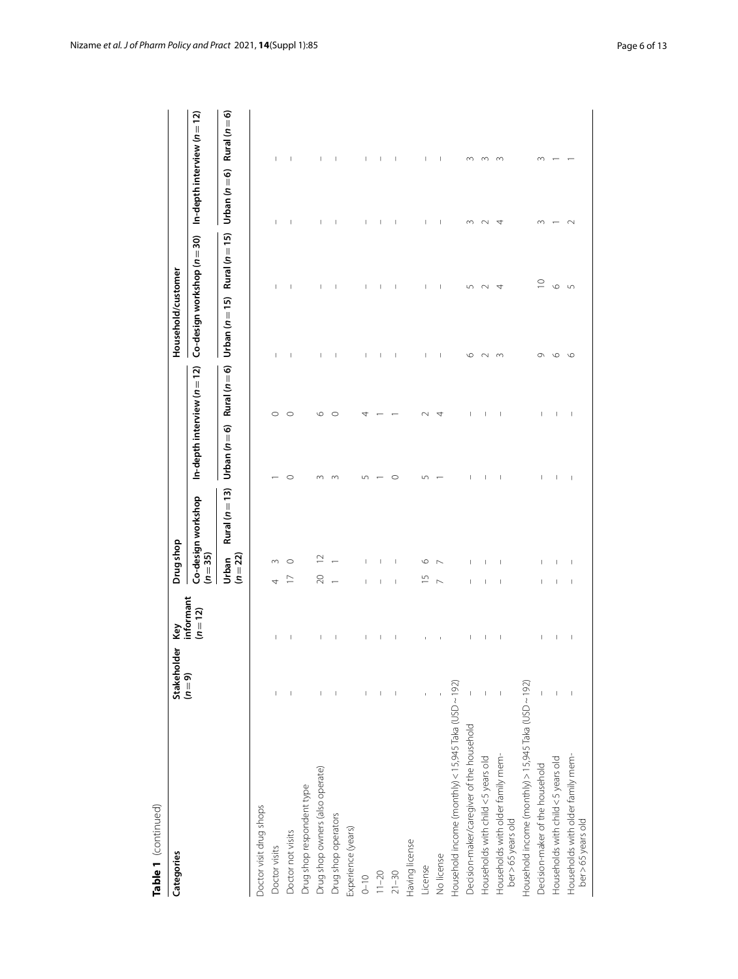| Table 1 (continued)                                     |                        |                                       |                                         |                                 |               |                             |                |                                 |               |
|---------------------------------------------------------|------------------------|---------------------------------------|-----------------------------------------|---------------------------------|---------------|-----------------------------|----------------|---------------------------------|---------------|
| Categories                                              | Stakeholder<br>$(n=9)$ | Ķe                                    | Drug shop                               |                                 |               | Household/customer          |                |                                 |               |
|                                                         |                        | informant<br>$(n=12)$                 | Co-design workshop<br>$(n = 35)$        | In-depth interview ( $n = 12$ ) |               | Co-design workshop (n = 30) |                | In-depth interview ( $n = 12$ ) |               |
|                                                         |                        |                                       | Rural ( $n = 13$ )<br>$(n=22)$<br>Urban | Urban $(n=6)$                   | Rural $(n=6)$ | Urban $(n=15)$              | Rural $(n=15)$ | Urban $(n=6)$                   | Rural (n = 6) |
| Doctor visit drug shops                                 |                        |                                       |                                         |                                 |               |                             |                |                                 |               |
| Doctor visits                                           |                        | I                                     | m                                       |                                 | $\circ$       |                             |                | J.                              | T             |
| Doctor not visits                                       |                        |                                       | ◠<br>2                                  | $\circ$                         | $\circ$       | I                           |                | I                               | I             |
| Drug shop respondent type                               |                        |                                       |                                         |                                 |               |                             |                |                                 |               |
| Drug shop owners (also operate)                         |                        |                                       | $\approx$                               |                                 | $\circ$       | T                           |                |                                 |               |
| Drug shop operators                                     |                        |                                       |                                         |                                 | O             | I                           |                |                                 |               |
| Experience (years)                                      |                        |                                       |                                         |                                 |               |                             |                |                                 |               |
| $0 - 10$                                                |                        | I                                     | I                                       |                                 |               | I                           |                |                                 | I             |
| $11 - 20$                                               |                        |                                       |                                         |                                 |               |                             |                |                                 |               |
| $21 - 30$                                               |                        | T                                     | T                                       | $\circ$                         |               | T                           |                |                                 | I.            |
| Having license                                          |                        |                                       |                                         |                                 |               |                             |                |                                 |               |
| License                                                 |                        |                                       | ৩<br>$\frac{5}{1}$                      |                                 |               |                             |                |                                 | I             |
| No license                                              |                        |                                       | $\overline{ }$                          |                                 |               | T<br>T                      |                | т                               | I             |
| Household income (monthly) < 15,945 Taka (USD ~ 192)    |                        |                                       |                                         |                                 |               |                             |                |                                 |               |
| Decision-maker/caregiver of the household               |                        |                                       |                                         |                                 |               | ৩                           |                | m                               | $\infty$      |
| Households with child <5 years old                      |                        |                                       |                                         |                                 |               |                             |                |                                 |               |
| Households with older family mem-<br>ber > 65 years old |                        | I                                     |                                         |                                 | I             | 4                           |                | 4                               | $\infty$      |
| Household income (monthly) > 15,945 Taka (USD ~ 192)    |                        |                                       |                                         |                                 |               |                             |                |                                 |               |
| Decision-maker of the household                         |                        | I                                     | т                                       |                                 | ı             | $\supseteq$                 |                |                                 | m             |
| Households with child <5 years old                      |                        | I                                     | I<br>T                                  | T                               | т             | $\circ$<br>৩                |                |                                 |               |
| Households with older family mem-<br>ber >65 years old  |                        | $\begin{array}{c} \hline \end{array}$ | $\mathbf{I}$<br>$\mathbf{I}$            | $\overline{\phantom{a}}$        | J             | $\sqrt{2}$                  |                |                                 |               |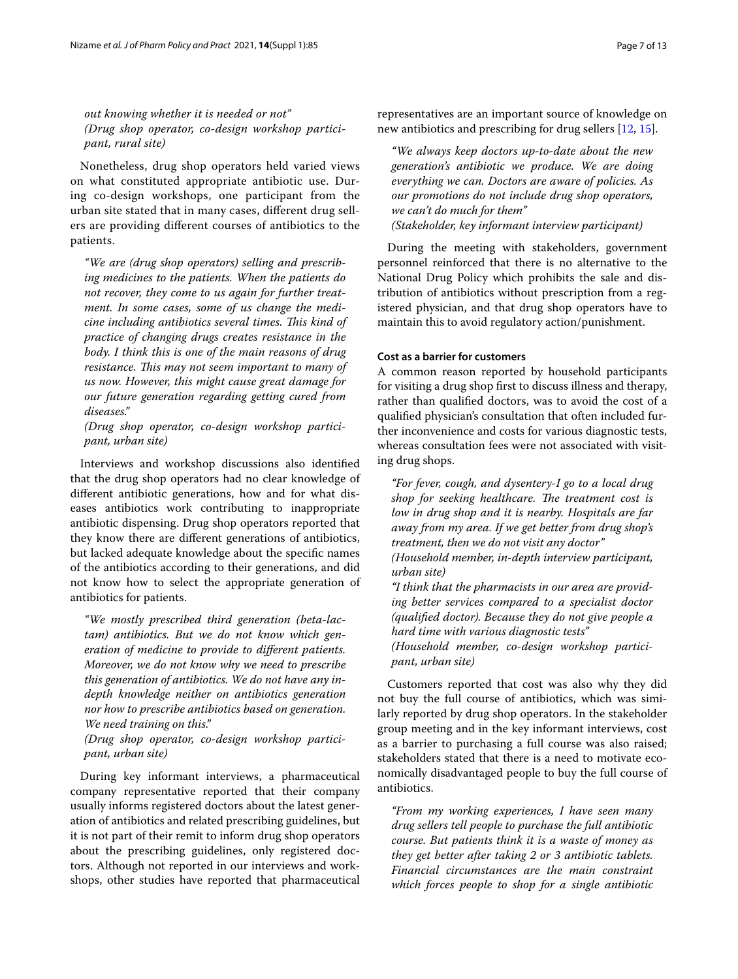*out knowing whether it is needed or not" (Drug shop operator, co-design workshop participant, rural site)*

Nonetheless, drug shop operators held varied views on what constituted appropriate antibiotic use. During co-design workshops, one participant from the urban site stated that in many cases, diferent drug sellers are providing diferent courses of antibiotics to the patients.

*"We are (drug shop operators) selling and prescribing medicines to the patients. When the patients do not recover, they come to us again for further treatment. In some cases, some of us change the medi*cine including antibiotics several times. This kind of *practice of changing drugs creates resistance in the body. I think this is one of the main reasons of drug resistance. This may not seem important to many of us now. However, this might cause great damage for our future generation regarding getting cured from diseases."*

*(Drug shop operator, co-design workshop participant, urban site)*

Interviews and workshop discussions also identifed that the drug shop operators had no clear knowledge of diferent antibiotic generations, how and for what diseases antibiotics work contributing to inappropriate antibiotic dispensing. Drug shop operators reported that they know there are diferent generations of antibiotics, but lacked adequate knowledge about the specifc names of the antibiotics according to their generations, and did not know how to select the appropriate generation of antibiotics for patients.

*"We mostly prescribed third generation (beta-lactam) antibiotics. But we do not know which generation of medicine to provide to diferent patients. Moreover, we do not know why we need to prescribe this generation of antibiotics. We do not have any indepth knowledge neither on antibiotics generation nor how to prescribe antibiotics based on generation. We need training on this."*

*(Drug shop operator, co-design workshop participant, urban site)*

During key informant interviews, a pharmaceutical company representative reported that their company usually informs registered doctors about the latest generation of antibiotics and related prescribing guidelines, but it is not part of their remit to inform drug shop operators about the prescribing guidelines, only registered doctors. Although not reported in our interviews and workshops, other studies have reported that pharmaceutical

representatives are an important source of knowledge on new antibiotics and prescribing for drug sellers [[12,](#page-11-10) [15\]](#page-11-13).

*"We always keep doctors up-to-date about the new generation's antibiotic we produce. We are doing everything we can. Doctors are aware of policies. As our promotions do not include drug shop operators, we can't do much for them" (Stakeholder, key informant interview participant)*

During the meeting with stakeholders, government personnel reinforced that there is no alternative to the National Drug Policy which prohibits the sale and distribution of antibiotics without prescription from a registered physician, and that drug shop operators have to maintain this to avoid regulatory action/punishment.

## **Cost as a barrier for customers**

A common reason reported by household participants for visiting a drug shop frst to discuss illness and therapy, rather than qualifed doctors, was to avoid the cost of a qualifed physician's consultation that often included further inconvenience and costs for various diagnostic tests, whereas consultation fees were not associated with visiting drug shops.

*"For fever, cough, and dysentery-I go to a local drug*  shop for seeking healthcare. The treatment cost is *low in drug shop and it is nearby. Hospitals are far away from my area. If we get better from drug shop's treatment, then we do not visit any doctor" (Household member, in-depth interview participant, urban site)*

*"I think that the pharmacists in our area are providing better services compared to a specialist doctor (qualifed doctor). Because they do not give people a hard time with various diagnostic tests" (Household member, co-design workshop partici-*

*pant, urban site)*

Customers reported that cost was also why they did not buy the full course of antibiotics, which was similarly reported by drug shop operators. In the stakeholder group meeting and in the key informant interviews, cost as a barrier to purchasing a full course was also raised; stakeholders stated that there is a need to motivate economically disadvantaged people to buy the full course of antibiotics.

*"From my working experiences, I have seen many drug sellers tell people to purchase the full antibiotic course. But patients think it is a waste of money as they get better after taking 2 or 3 antibiotic tablets. Financial circumstances are the main constraint which forces people to shop for a single antibiotic*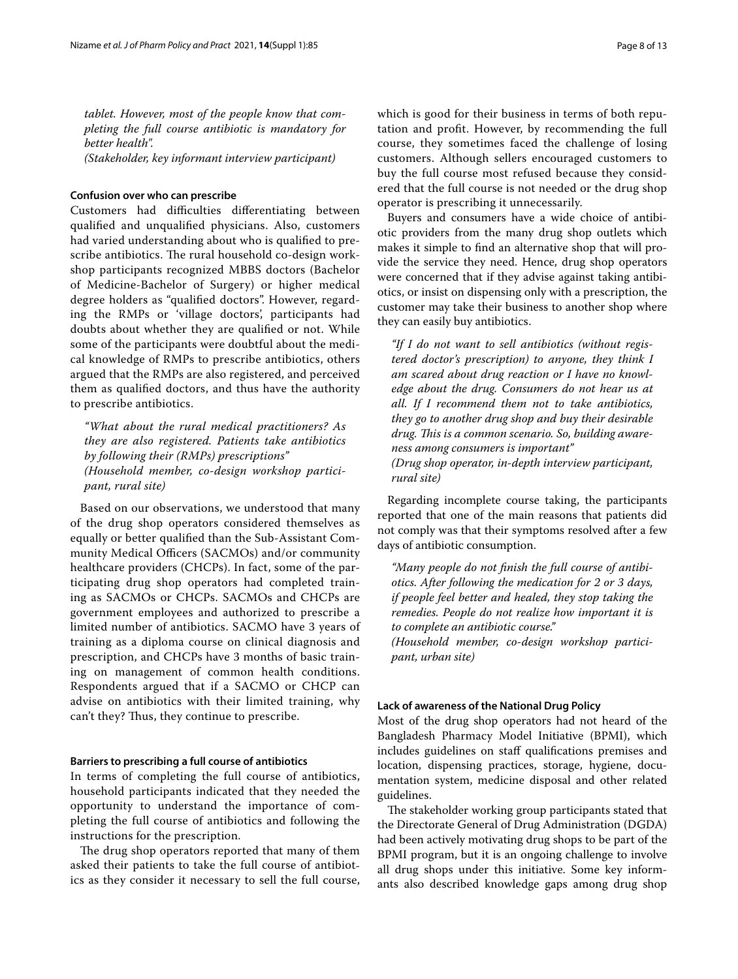*tablet. However, most of the people know that completing the full course antibiotic is mandatory for better health". (Stakeholder, key informant interview participant)*

# **Confusion over who can prescribe**

Customers had difficulties differentiating between qualifed and unqualifed physicians. Also, customers had varied understanding about who is qualifed to prescribe antibiotics. The rural household co-design workshop participants recognized MBBS doctors (Bachelor of Medicine-Bachelor of Surgery) or higher medical degree holders as "qualifed doctors". However, regarding the RMPs or 'village doctors', participants had doubts about whether they are qualifed or not. While some of the participants were doubtful about the medical knowledge of RMPs to prescribe antibiotics, others argued that the RMPs are also registered, and perceived them as qualifed doctors, and thus have the authority to prescribe antibiotics.

*"What about the rural medical practitioners? As they are also registered. Patients take antibiotics by following their (RMPs) prescriptions" (Household member, co-design workshop participant, rural site)*

Based on our observations, we understood that many of the drug shop operators considered themselves as equally or better qualifed than the Sub-Assistant Community Medical Officers (SACMOs) and/or community healthcare providers (CHCPs). In fact, some of the participating drug shop operators had completed training as SACMOs or CHCPs. SACMOs and CHCPs are government employees and authorized to prescribe a limited number of antibiotics. SACMO have 3 years of training as a diploma course on clinical diagnosis and prescription, and CHCPs have 3 months of basic training on management of common health conditions. Respondents argued that if a SACMO or CHCP can advise on antibiotics with their limited training, why can't they? Thus, they continue to prescribe.

#### **Barriers to prescribing a full course of antibiotics**

In terms of completing the full course of antibiotics, household participants indicated that they needed the opportunity to understand the importance of completing the full course of antibiotics and following the instructions for the prescription.

The drug shop operators reported that many of them asked their patients to take the full course of antibiotics as they consider it necessary to sell the full course, which is good for their business in terms of both reputation and proft. However, by recommending the full course, they sometimes faced the challenge of losing customers. Although sellers encouraged customers to buy the full course most refused because they considered that the full course is not needed or the drug shop operator is prescribing it unnecessarily.

Buyers and consumers have a wide choice of antibiotic providers from the many drug shop outlets which makes it simple to fnd an alternative shop that will provide the service they need. Hence, drug shop operators were concerned that if they advise against taking antibiotics, or insist on dispensing only with a prescription, the customer may take their business to another shop where they can easily buy antibiotics.

*"If I do not want to sell antibiotics (without registered doctor's prescription) to anyone, they think I am scared about drug reaction or I have no knowledge about the drug. Consumers do not hear us at all. If I recommend them not to take antibiotics, they go to another drug shop and buy their desirable drug. Tis is a common scenario. So, building awareness among consumers is important" (Drug shop operator, in-depth interview participant, rural site)*

Regarding incomplete course taking, the participants reported that one of the main reasons that patients did not comply was that their symptoms resolved after a few days of antibiotic consumption.

*"Many people do not fnish the full course of antibiotics. After following the medication for 2 or 3 days, if people feel better and healed, they stop taking the remedies. People do not realize how important it is to complete an antibiotic course." (Household member, co-design workshop partici-*

*pant, urban site)*

#### **Lack of awareness of the National Drug Policy**

Most of the drug shop operators had not heard of the Bangladesh Pharmacy Model Initiative (BPMI), which includes guidelines on staff qualifications premises and location, dispensing practices, storage, hygiene, documentation system, medicine disposal and other related guidelines.

The stakeholder working group participants stated that the Directorate General of Drug Administration (DGDA) had been actively motivating drug shops to be part of the BPMI program, but it is an ongoing challenge to involve all drug shops under this initiative. Some key informants also described knowledge gaps among drug shop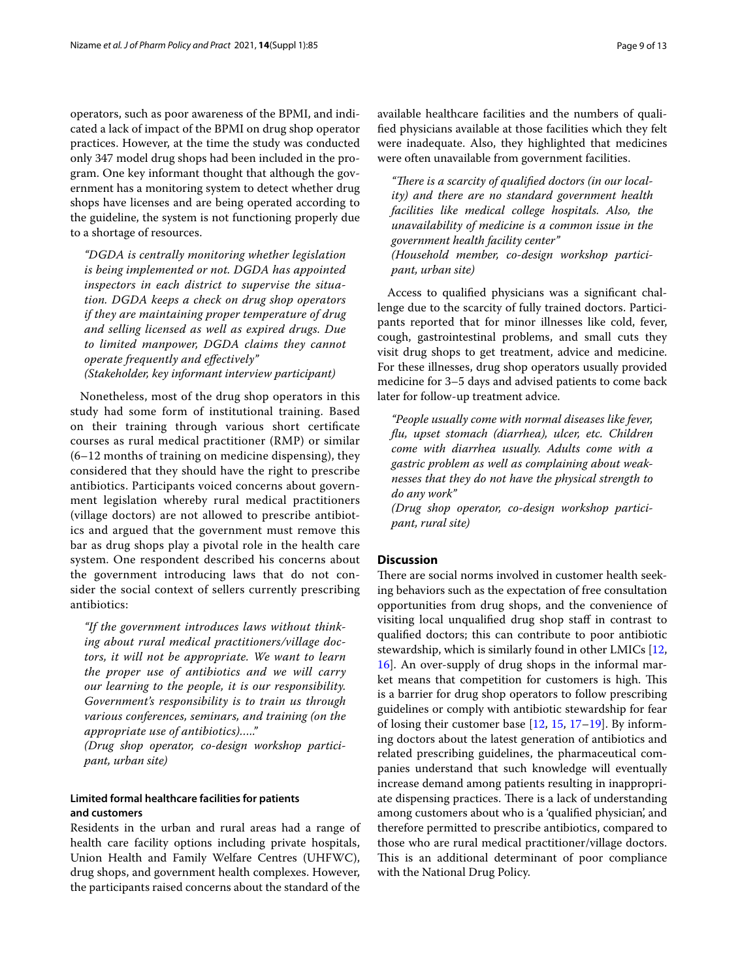operators, such as poor awareness of the BPMI, and indicated a lack of impact of the BPMI on drug shop operator practices. However, at the time the study was conducted only 347 model drug shops had been included in the program. One key informant thought that although the government has a monitoring system to detect whether drug shops have licenses and are being operated according to the guideline, the system is not functioning properly due to a shortage of resources.

*"DGDA is centrally monitoring whether legislation is being implemented or not. DGDA has appointed inspectors in each district to supervise the situation. DGDA keeps a check on drug shop operators if they are maintaining proper temperature of drug and selling licensed as well as expired drugs. Due to limited manpower, DGDA claims they cannot operate frequently and efectively" (Stakeholder, key informant interview participant)*

Nonetheless, most of the drug shop operators in this study had some form of institutional training. Based on their training through various short certifcate courses as rural medical practitioner (RMP) or similar (6–12 months of training on medicine dispensing), they considered that they should have the right to prescribe antibiotics. Participants voiced concerns about government legislation whereby rural medical practitioners (village doctors) are not allowed to prescribe antibiotics and argued that the government must remove this bar as drug shops play a pivotal role in the health care system. One respondent described his concerns about the government introducing laws that do not consider the social context of sellers currently prescribing antibiotics:

*"If the government introduces laws without thinking about rural medical practitioners/village doctors, it will not be appropriate. We want to learn the proper use of antibiotics and we will carry our learning to the people, it is our responsibility. Government's responsibility is to train us through various conferences, seminars, and training (on the appropriate use of antibiotics)….."*

*(Drug shop operator, co-design workshop participant, urban site)*

# **Limited formal healthcare facilities for patients and customers**

Residents in the urban and rural areas had a range of health care facility options including private hospitals, Union Health and Family Welfare Centres (UHFWC), drug shops, and government health complexes. However, the participants raised concerns about the standard of the available healthcare facilities and the numbers of qualifed physicians available at those facilities which they felt were inadequate. Also, they highlighted that medicines were often unavailable from government facilities.

"There is a scarcity of qualified doctors (in our local*ity) and there are no standard government health facilities like medical college hospitals. Also, the unavailability of medicine is a common issue in the government health facility center" (Household member, co-design workshop participant, urban site)*

Access to qualifed physicians was a signifcant challenge due to the scarcity of fully trained doctors. Participants reported that for minor illnesses like cold, fever, cough, gastrointestinal problems, and small cuts they visit drug shops to get treatment, advice and medicine. For these illnesses, drug shop operators usually provided medicine for 3–5 days and advised patients to come back later for follow-up treatment advice.

*"People usually come with normal diseases like fever, fu, upset stomach (diarrhea), ulcer, etc. Children come with diarrhea usually. Adults come with a gastric problem as well as complaining about weaknesses that they do not have the physical strength to do any work"*

*(Drug shop operator, co-design workshop participant, rural site)*

# **Discussion**

There are social norms involved in customer health seeking behaviors such as the expectation of free consultation opportunities from drug shops, and the convenience of visiting local unqualifed drug shop staf in contrast to qualifed doctors; this can contribute to poor antibiotic stewardship, which is similarly found in other LMICs [[12](#page-11-10), [16\]](#page-11-14). An over-supply of drug shops in the informal market means that competition for customers is high. This is a barrier for drug shop operators to follow prescribing guidelines or comply with antibiotic stewardship for fear of losing their customer base [\[12,](#page-11-10) [15,](#page-11-13) [17–](#page-11-15)[19](#page-11-16)]. By informing doctors about the latest generation of antibiotics and related prescribing guidelines, the pharmaceutical companies understand that such knowledge will eventually increase demand among patients resulting in inappropriate dispensing practices. There is a lack of understanding among customers about who is a 'qualifed physician', and therefore permitted to prescribe antibiotics, compared to those who are rural medical practitioner/village doctors. This is an additional determinant of poor compliance with the National Drug Policy.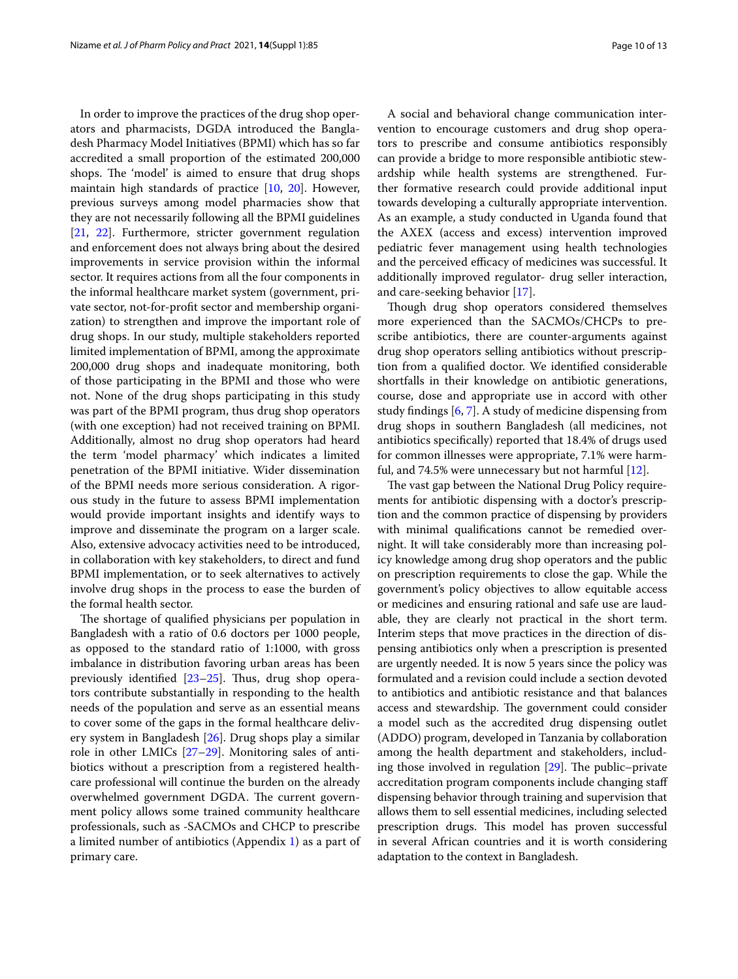In order to improve the practices of the drug shop operators and pharmacists, DGDA introduced the Bangladesh Pharmacy Model Initiatives (BPMI) which has so far accredited a small proportion of the estimated 200,000 shops. The 'model' is aimed to ensure that drug shops maintain high standards of practice [\[10](#page-11-8), [20](#page-11-17)]. However, previous surveys among model pharmacies show that they are not necessarily following all the BPMI guidelines [[21,](#page-12-0) [22](#page-12-1)]. Furthermore, stricter government regulation and enforcement does not always bring about the desired improvements in service provision within the informal sector. It requires actions from all the four components in the informal healthcare market system (government, private sector, not-for-proft sector and membership organization) to strengthen and improve the important role of drug shops. In our study, multiple stakeholders reported limited implementation of BPMI, among the approximate 200,000 drug shops and inadequate monitoring, both of those participating in the BPMI and those who were not. None of the drug shops participating in this study was part of the BPMI program, thus drug shop operators (with one exception) had not received training on BPMI. Additionally, almost no drug shop operators had heard the term 'model pharmacy' which indicates a limited penetration of the BPMI initiative. Wider dissemination of the BPMI needs more serious consideration. A rigorous study in the future to assess BPMI implementation would provide important insights and identify ways to improve and disseminate the program on a larger scale. Also, extensive advocacy activities need to be introduced, in collaboration with key stakeholders, to direct and fund BPMI implementation, or to seek alternatives to actively involve drug shops in the process to ease the burden of the formal health sector.

The shortage of qualified physicians per population in Bangladesh with a ratio of 0.6 doctors per 1000 people, as opposed to the standard ratio of 1:1000, with gross imbalance in distribution favoring urban areas has been previously identified  $[23-25]$  $[23-25]$ . Thus, drug shop operators contribute substantially in responding to the health needs of the population and serve as an essential means to cover some of the gaps in the formal healthcare delivery system in Bangladesh [\[26](#page-12-4)]. Drug shops play a similar role in other LMICs [\[27–](#page-12-5)[29\]](#page-12-6). Monitoring sales of antibiotics without a prescription from a registered healthcare professional will continue the burden on the already overwhelmed government DGDA. The current government policy allows some trained community healthcare professionals, such as -SACMOs and CHCP to prescribe a limited number of antibiotics (Appendix [1](#page-10-0)) as a part of primary care.

A social and behavioral change communication intervention to encourage customers and drug shop operators to prescribe and consume antibiotics responsibly can provide a bridge to more responsible antibiotic stewardship while health systems are strengthened. Further formative research could provide additional input towards developing a culturally appropriate intervention. As an example, a study conducted in Uganda found that the AXEX (access and excess) intervention improved pediatric fever management using health technologies and the perceived efficacy of medicines was successful. It additionally improved regulator- drug seller interaction, and care-seeking behavior [[17\]](#page-11-15).

Though drug shop operators considered themselves more experienced than the SACMOs/CHCPs to prescribe antibiotics, there are counter-arguments against drug shop operators selling antibiotics without prescription from a qualifed doctor. We identifed considerable shortfalls in their knowledge on antibiotic generations, course, dose and appropriate use in accord with other study fndings [\[6](#page-11-4), [7](#page-11-5)]. A study of medicine dispensing from drug shops in southern Bangladesh (all medicines, not antibiotics specifcally) reported that 18.4% of drugs used for common illnesses were appropriate, 7.1% were harmful, and 74.5% were unnecessary but not harmful [[12\]](#page-11-10).

The vast gap between the National Drug Policy requirements for antibiotic dispensing with a doctor's prescription and the common practice of dispensing by providers with minimal qualifcations cannot be remedied overnight. It will take considerably more than increasing policy knowledge among drug shop operators and the public on prescription requirements to close the gap. While the government's policy objectives to allow equitable access or medicines and ensuring rational and safe use are laudable, they are clearly not practical in the short term. Interim steps that move practices in the direction of dispensing antibiotics only when a prescription is presented are urgently needed. It is now 5 years since the policy was formulated and a revision could include a section devoted to antibiotics and antibiotic resistance and that balances access and stewardship. The government could consider a model such as the accredited drug dispensing outlet (ADDO) program, developed in Tanzania by collaboration among the health department and stakeholders, including those involved in regulation  $[29]$  $[29]$  $[29]$ . The public–private accreditation program components include changing staf dispensing behavior through training and supervision that allows them to sell essential medicines, including selected prescription drugs. This model has proven successful in several African countries and it is worth considering adaptation to the context in Bangladesh.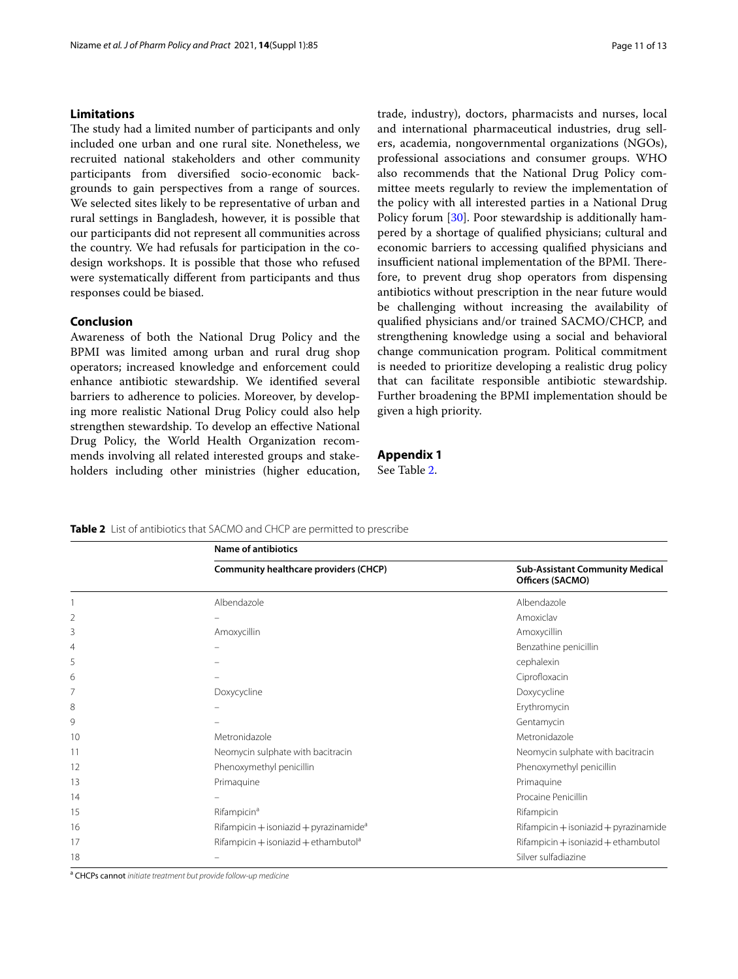# **Limitations**

The study had a limited number of participants and only included one urban and one rural site. Nonetheless, we recruited national stakeholders and other community participants from diversifed socio-economic backgrounds to gain perspectives from a range of sources. We selected sites likely to be representative of urban and rural settings in Bangladesh, however, it is possible that our participants did not represent all communities across the country. We had refusals for participation in the codesign workshops. It is possible that those who refused were systematically diferent from participants and thus responses could be biased.

### **Conclusion**

Awareness of both the National Drug Policy and the BPMI was limited among urban and rural drug shop operators; increased knowledge and enforcement could enhance antibiotic stewardship. We identifed several barriers to adherence to policies. Moreover, by developing more realistic National Drug Policy could also help strengthen stewardship. To develop an efective National Drug Policy, the World Health Organization recommends involving all related interested groups and stakeholders including other ministries (higher education,

trade, industry), doctors, pharmacists and nurses, local and international pharmaceutical industries, drug sellers, academia, nongovernmental organizations (NGOs), professional associations and consumer groups. WHO also recommends that the National Drug Policy committee meets regularly to review the implementation of the policy with all interested parties in a National Drug Policy forum [[30\]](#page-12-7). Poor stewardship is additionally hampered by a shortage of qualifed physicians; cultural and economic barriers to accessing qualifed physicians and insufficient national implementation of the BPMI. Therefore, to prevent drug shop operators from dispensing antibiotics without prescription in the near future would be challenging without increasing the availability of qualifed physicians and/or trained SACMO/CHCP, and strengthening knowledge using a social and behavioral change communication program. Political commitment is needed to prioritize developing a realistic drug policy that can facilitate responsible antibiotic stewardship. Further broadening the BPMI implementation should be given a high priority.

# <span id="page-10-0"></span>**Appendix 1**

See Table [2.](#page-10-1)

<span id="page-10-1"></span>**Table 2** List of antibiotics that SACMO and CHCP are permitted to prescribe

|    | <b>Name of antibiotics</b>                         |                                                            |
|----|----------------------------------------------------|------------------------------------------------------------|
|    | Community healthcare providers (CHCP)              | <b>Sub-Assistant Community Medical</b><br>Officers (SACMO) |
|    | Albendazole                                        | Albendazole                                                |
| 2  |                                                    | Amoxiclav                                                  |
| 3  | Amoxycillin                                        | Amoxycillin                                                |
| 4  |                                                    | Benzathine penicillin                                      |
| 5  |                                                    | cephalexin                                                 |
| 6  |                                                    | Ciprofloxacin                                              |
|    | Doxycycline                                        | Doxycycline                                                |
| 8  |                                                    | Erythromycin                                               |
| 9  |                                                    | Gentamycin                                                 |
| 10 | Metronidazole                                      | Metronidazole                                              |
| 11 | Neomycin sulphate with bacitracin                  | Neomycin sulphate with bacitracin                          |
| 12 | Phenoxymethyl penicillin                           | Phenoxymethyl penicillin                                   |
| 13 | Primaguine                                         | Primaguine                                                 |
| 14 |                                                    | Procaine Penicillin                                        |
| 15 | Rifampicin <sup>a</sup>                            | Rifampicin                                                 |
| 16 | Rifampicin + isoniazid + pyrazinamide <sup>a</sup> | $Rifampicin + isoniazid + pyrazinamide$                    |
| 17 | Rifampicin + isoniazid + ethambutol <sup>a</sup>   | Rifampicin + isoniazid + ethambutol                        |
| 18 |                                                    | Silver sulfadiazine                                        |

a CHCPs cannot *initiate treatment but provide follow-up medicine*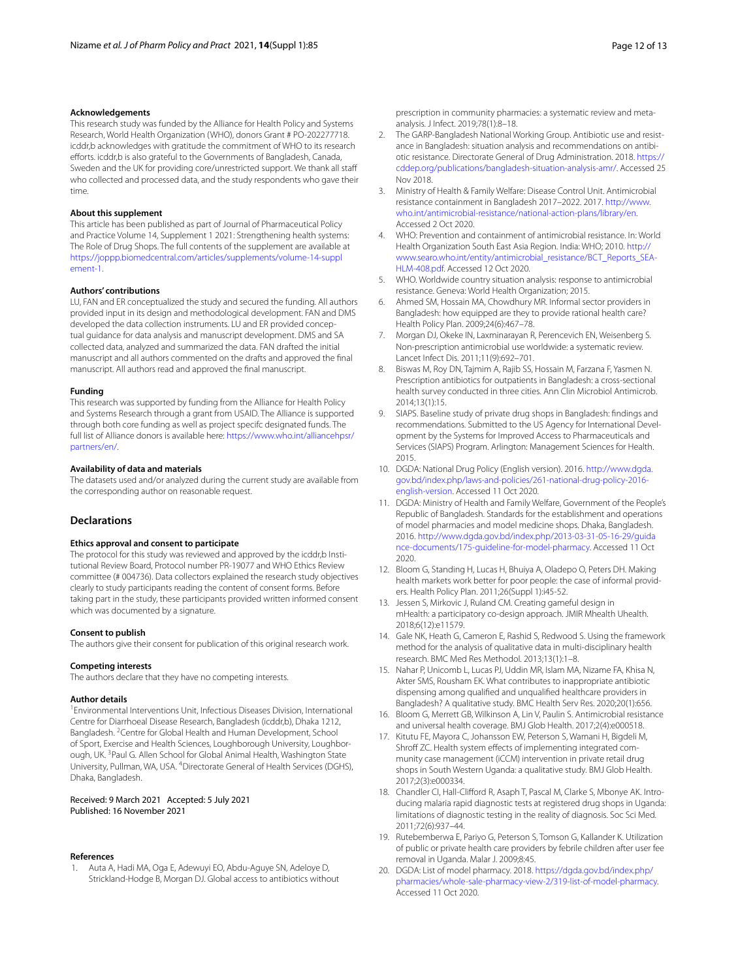#### **Acknowledgements**

This research study was funded by the Alliance for Health Policy and Systems Research, World Health Organization (WHO), donors Grant # PO-202277718. icddr,b acknowledges with gratitude the commitment of WHO to its research efforts. icddr,b is also grateful to the Governments of Bangladesh, Canada, Sweden and the UK for providing core/unrestricted support. We thank all staf who collected and processed data, and the study respondents who gave their time.

#### **About this supplement**

This article has been published as part of Journal of Pharmaceutical Policy and Practice Volume 14, Supplement 1 2021: Strengthening health systems: The Role of Drug Shops. The full contents of the supplement are available at [https://joppp.biomedcentral.com/articles/supplements/volume-14-suppl](https://joppp.biomedcentral.com/articles/supplements/volume-14-supplement-1) [ement-1](https://joppp.biomedcentral.com/articles/supplements/volume-14-supplement-1).

#### **Authors' contributions**

LU, FAN and ER conceptualized the study and secured the funding. All authors provided input in its design and methodological development. FAN and DMS developed the data collection instruments. LU and ER provided conceptual guidance for data analysis and manuscript development. DMS and SA collected data, analyzed and summarized the data. FAN drafted the initial manuscript and all authors commented on the drafts and approved the fnal manuscript. All authors read and approved the fnal manuscript.

#### **Funding**

This research was supported by funding from the Alliance for Health Policy and Systems Research through a grant from USAID. The Alliance is supported through both core funding as well as project specifc designated funds. The full list of Alliance donors is available here: [https://www.who.int/alliancehpsr/](https://www.who.int/alliancehpsr/partners/en/) [partners/en/.](https://www.who.int/alliancehpsr/partners/en/)

#### **Availability of data and materials**

The datasets used and/or analyzed during the current study are available from the corresponding author on reasonable request.

### **Declarations**

#### **Ethics approval and consent to participate**

The protocol for this study was reviewed and approved by the icddr,b Institutional Review Board, Protocol number PR-19077 and WHO Ethics Review committee (# 004736). Data collectors explained the research study objectives clearly to study participants reading the content of consent forms. Before taking part in the study, these participants provided written informed consent which was documented by a signature.

#### **Consent to publish**

The authors give their consent for publication of this original research work.

#### **Competing interests**

The authors declare that they have no competing interests.

#### **Author details**

<sup>1</sup> Environmental Interventions Unit, Infectious Diseases Division, International Centre for Diarrhoeal Disease Research, Bangladesh (icddr,b), Dhaka 1212, Bangladesh. <sup>2</sup> Centre for Global Health and Human Development, School of Sport, Exercise and Health Sciences, Loughborough University, Loughborough, UK.<sup>3</sup> Paul G. Allen School for Global Animal Health, Washington State University, Pullman, WA, USA. <sup>4</sup> Directorate General of Health Services (DGHS), Dhaka, Bangladesh.

#### Received: 9 March 2021 Accepted: 5 July 2021 Published: 16 November 2021

#### **References**

<span id="page-11-0"></span>1. Auta A, Hadi MA, Oga E, Adewuyi EO, Abdu-Aguye SN, Adeloye D, Strickland-Hodge B, Morgan DJ. Global access to antibiotics without prescription in community pharmacies: a systematic review and metaanalysis. J Infect. 2019;78(1):8–18.

- 2. The GARP-Bangladesh National Working Group. Antibiotic use and resistance in Bangladesh: situation analysis and recommendations on antibiotic resistance. Directorate General of Drug Administration. 2018. [https://](https://cddep.org/publications/bangladesh-situation-analysis-amr/) [cddep.org/publications/bangladesh-situation-analysis-amr/.](https://cddep.org/publications/bangladesh-situation-analysis-amr/) Accessed 25 Nov 2018.
- <span id="page-11-1"></span>3. Ministry of Health & Family Welfare: Disease Control Unit. Antimicrobial resistance containment in Bangladesh 2017–2022. 2017. [http://www.](http://www.who.int/antimicrobial-resistance/national-action-plans/library/en) [who.int/antimicrobial-resistance/national-action-plans/library/en.](http://www.who.int/antimicrobial-resistance/national-action-plans/library/en) Accessed 2 Oct 2020.
- <span id="page-11-2"></span>4. WHO: Prevention and containment of antimicrobial resistance. In: World Health Organization South East Asia Region. India: WHO; 2010. [http://](http://www.searo.who.int/entity/antimicrobial_resistance/BCT_Reports_SEA-HLM-408.pdf) [www.searo.who.int/entity/antimicrobial\\_resistance/BCT\\_Reports\\_SEA-](http://www.searo.who.int/entity/antimicrobial_resistance/BCT_Reports_SEA-HLM-408.pdf)[HLM-408.pdf](http://www.searo.who.int/entity/antimicrobial_resistance/BCT_Reports_SEA-HLM-408.pdf). Accessed 12 Oct 2020.
- <span id="page-11-3"></span>5. WHO. Worldwide country situation analysis: response to antimicrobial resistance. Geneva: World Health Organization; 2015.
- <span id="page-11-4"></span>6. Ahmed SM, Hossain MA, Chowdhury MR. Informal sector providers in Bangladesh: how equipped are they to provide rational health care? Health Policy Plan. 2009;24(6):467–78.
- <span id="page-11-5"></span>7. Morgan DJ, Okeke IN, Laxminarayan R, Perencevich EN, Weisenberg S. Non-prescription antimicrobial use worldwide: a systematic review. Lancet Infect Dis. 2011;11(9):692–701.
- <span id="page-11-6"></span>8. Biswas M, Roy DN, Tajmim A, Rajib SS, Hossain M, Farzana F, Yasmen N. Prescription antibiotics for outpatients in Bangladesh: a cross-sectional health survey conducted in three cities. Ann Clin Microbiol Antimicrob. 2014;13(1):15.
- <span id="page-11-7"></span>9. SIAPS. Baseline study of private drug shops in Bangladesh: fndings and recommendations. Submitted to the US Agency for International Development by the Systems for Improved Access to Pharmaceuticals and Services (SIAPS) Program. Arlington: Management Sciences for Health. 2015.
- <span id="page-11-8"></span>10. DGDA: National Drug Policy (English version). 2016. [http://www.dgda.](http://www.dgda.gov.bd/index.php/laws-and-policies/261-national-drug-policy-2016-english-version) [gov.bd/index.php/laws-and-policies/261-national-drug-policy-2016](http://www.dgda.gov.bd/index.php/laws-and-policies/261-national-drug-policy-2016-english-version) [english-version](http://www.dgda.gov.bd/index.php/laws-and-policies/261-national-drug-policy-2016-english-version). Accessed 11 Oct 2020.
- <span id="page-11-9"></span>11. DGDA: Ministry of Health and Family Welfare, Government of the People's Republic of Bangladesh. Standards for the establishment and operations of model pharmacies and model medicine shops. Dhaka, Bangladesh. 2016. [http://www.dgda.gov.bd/index.php/2013-03-31-05-16-29/guida](http://www.dgda.gov.bd/index.php/2013-03-31-05-16-29/guidance-documents/175-guideline-for-model-pharmacy) [nce-documents/175-guideline-for-model-pharmacy](http://www.dgda.gov.bd/index.php/2013-03-31-05-16-29/guidance-documents/175-guideline-for-model-pharmacy). Accessed 11 Oct 2020.
- <span id="page-11-10"></span>12. Bloom G, Standing H, Lucas H, Bhuiya A, Oladepo O, Peters DH. Making health markets work better for poor people: the case of informal providers. Health Policy Plan. 2011;26(Suppl 1):i45-52.
- <span id="page-11-11"></span>13. Jessen S, Mirkovic J, Ruland CM. Creating gameful design in mHealth: a participatory co-design approach. JMIR Mhealth Uhealth. 2018;6(12):e11579.
- <span id="page-11-12"></span>14. Gale NK, Heath G, Cameron E, Rashid S, Redwood S. Using the framework method for the analysis of qualitative data in multi-disciplinary health research. BMC Med Res Methodol. 2013;13(1):1–8.
- <span id="page-11-13"></span>15. Nahar P, Unicomb L, Lucas PJ, Uddin MR, Islam MA, Nizame FA, Khisa N, Akter SMS, Rousham EK. What contributes to inappropriate antibiotic dispensing among qualifed and unqualifed healthcare providers in Bangladesh? A qualitative study. BMC Health Serv Res. 2020;20(1):656.
- <span id="page-11-14"></span>16. Bloom G, Merrett GB, Wilkinson A, Lin V, Paulin S. Antimicrobial resistance and universal health coverage. BMJ Glob Health. 2017;2(4):e000518.
- <span id="page-11-15"></span>17. Kitutu FE, Mayora C, Johansson EW, Peterson S, Wamani H, Bigdeli M, Shroff ZC. Health system effects of implementing integrated community case management (iCCM) intervention in private retail drug shops in South Western Uganda: a qualitative study. BMJ Glob Health. 2017;2(3):e000334.
- 18. Chandler CI, Hall-Clifford R, Asaph T, Pascal M, Clarke S, Mbonye AK. Introducing malaria rapid diagnostic tests at registered drug shops in Uganda: limitations of diagnostic testing in the reality of diagnosis. Soc Sci Med. 2011;72(6):937–44.
- <span id="page-11-16"></span>19. Rutebemberwa E, Pariyo G, Peterson S, Tomson G, Kallander K. Utilization of public or private health care providers by febrile children after user fee removal in Uganda. Malar J. 2009;8:45.
- <span id="page-11-17"></span>20. DGDA: List of model pharmacy. 2018. [https://dgda.gov.bd/index.php/](https://dgda.gov.bd/index.php/pharmacies/whole-sale-pharmacy-view-2/319-list-of-model-pharmacy) [pharmacies/whole-sale-pharmacy-view-2/319-list-of-model-pharmacy.](https://dgda.gov.bd/index.php/pharmacies/whole-sale-pharmacy-view-2/319-list-of-model-pharmacy) Accessed 11 Oct 2020.